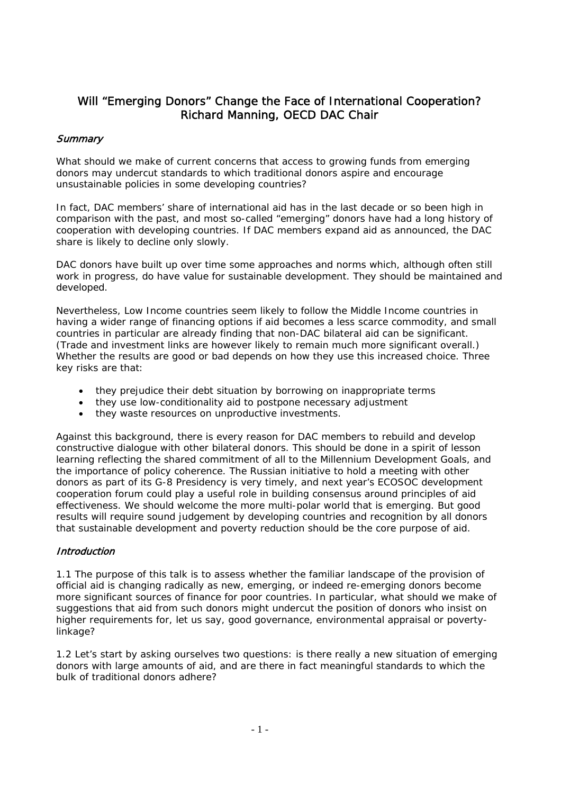# Will "Emerging Donors" Change the Face of International Cooperation? Richard Manning, OECD DAC Chair

# **Summary**

What should we make of current concerns that access to growing funds from emerging donors may undercut standards to which traditional donors aspire and encourage unsustainable policies in some developing countries?

In fact, DAC members' share of international aid has in the last decade or so been high in comparison with the past, and most so-called "emerging" donors have had a long history of cooperation with developing countries. If DAC members expand aid as announced, the DAC share is likely to decline only slowly.

DAC donors have built up over time some approaches and norms which, although often still work in progress, do have value for sustainable development. They should be maintained and developed.

Nevertheless, Low Income countries seem likely to follow the Middle Income countries in having a wider range of financing options if aid becomes a less scarce commodity, and small countries in particular are already finding that non-DAC bilateral aid can be significant. (Trade and investment links are however likely to remain much more significant overall.) Whether the results are good or bad depends on how they use this increased choice. Three key risks are that:

- they prejudice their debt situation by borrowing on inappropriate terms
- they use low-conditionality aid to postpone necessary adjustment
- they waste resources on unproductive investments.

Against this background, there is every reason for DAC members to rebuild and develop constructive dialogue with other bilateral donors. This should be done in a spirit of lesson learning reflecting the shared commitment of all to the Millennium Development Goals, and the importance of policy coherence. The Russian initiative to hold a meeting with other donors as part of its G-8 Presidency is very timely, and next year's ECOSOC development cooperation forum could play a useful role in building consensus around principles of aid effectiveness. We should welcome the more multi-polar world that is emerging. But good results will require sound judgement by developing countries and recognition by all donors that sustainable development and poverty reduction should be the core purpose of aid.

# **Introduction**

1.1 The purpose of this talk is to assess whether the familiar landscape of the provision of official aid is changing radically as new, emerging, or indeed re-emerging donors become more significant sources of finance for poor countries. In particular, what should we make of suggestions that aid from such donors might undercut the position of donors who insist on higher requirements for, let us say, good governance, environmental appraisal or povertylinkage?

1.2 Let's start by asking ourselves two questions: is there really a new situation of emerging donors with large amounts of aid, and are there in fact meaningful standards to which the bulk of traditional donors adhere?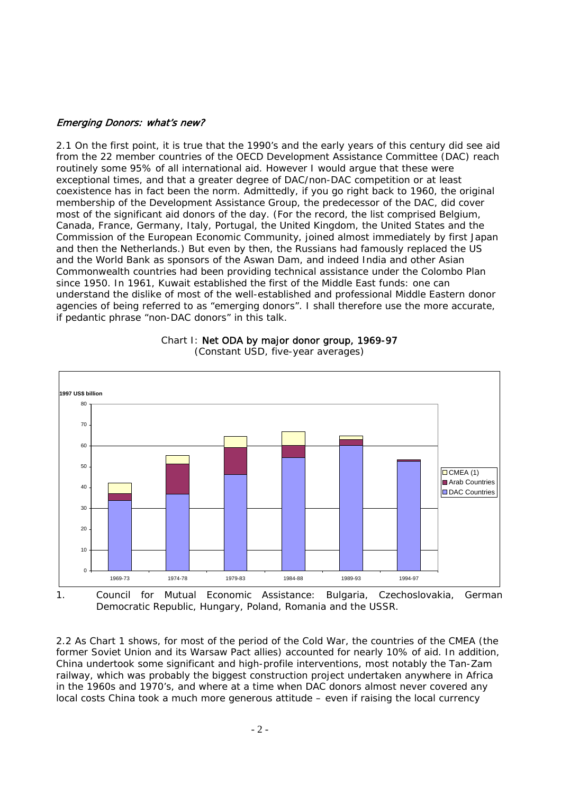#### Emerging Donors: what's new?

2.1 On the first point, it is true that the 1990's and the early years of this century did see aid from the 22 member countries of the OECD Development Assistance Committee (DAC) reach routinely some 95% of all international aid. However I would argue that these were exceptional times, and that a greater degree of DAC/non-DAC competition or at least coexistence has in fact been the norm. Admittedly, if you go right back to 1960, the original membership of the Development Assistance Group, the predecessor of the DAC, did cover most of the significant aid donors of the day. (For the record, the list comprised Belgium, Canada, France, Germany, Italy, Portugal, the United Kingdom, the United States and the Commission of the European Economic Community, joined almost immediately by first Japan and then the Netherlands.) But even by then, the Russians had famously replaced the US and the World Bank as sponsors of the Aswan Dam, and indeed India and other Asian Commonwealth countries had been providing technical assistance under the Colombo Plan since 1950. In 1961, Kuwait established the first of the Middle East funds: one can understand the dislike of most of the well-established and professional Middle Eastern donor agencies of being referred to as "emerging donors". I shall therefore use the more accurate, if pedantic phrase "non-DAC donors" in this talk.



#### Chart I: Net ODA by major donor group, 1969-97 (Constant USD, five-year averages)

1. Council for Mutual Economic Assistance: Bulgaria, Czechoslovakia, German Democratic Republic, Hungary, Poland, Romania and the USSR.

2.2 As Chart 1 shows, for most of the period of the Cold War, the countries of the CMEA (the former Soviet Union and its Warsaw Pact allies) accounted for nearly 10% of aid. In addition, China undertook some significant and high-profile interventions, most notably the Tan-Zam railway, which was probably the biggest construction project undertaken anywhere in Africa in the 1960s and 1970's, and where at a time when DAC donors almost never covered any local costs China took a much more generous attitude – even if raising the local currency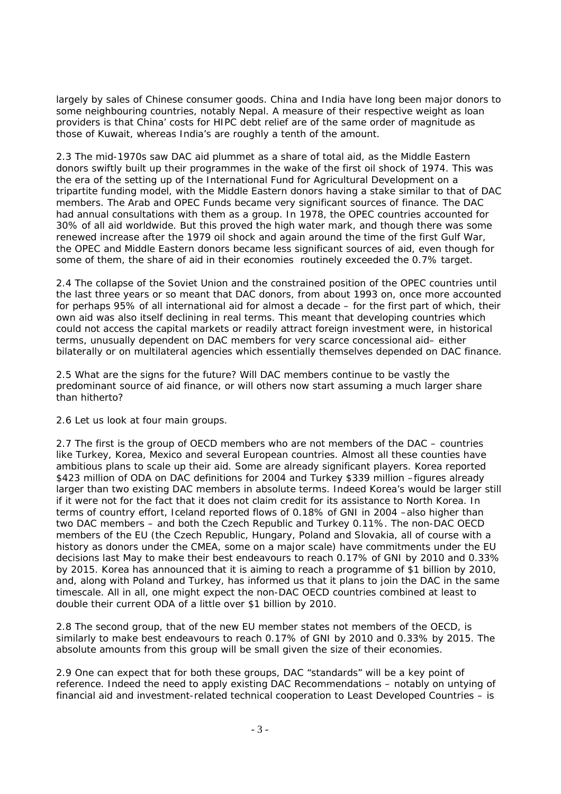largely by sales of Chinese consumer goods. China and India have long been major donors to some neighbouring countries, notably Nepal. A measure of their respective weight as loan providers is that China' costs for HIPC debt relief are of the same order of magnitude as those of Kuwait, whereas India's are roughly a tenth of the amount.

2.3 The mid-1970s saw DAC aid plummet as a share of total aid, as the Middle Eastern donors swiftly built up their programmes in the wake of the first oil shock of 1974. This was the era of the setting up of the International Fund for Agricultural Development on a tripartite funding model, with the Middle Eastern donors having a stake similar to that of DAC members. The Arab and OPEC Funds became very significant sources of finance. The DAC had annual consultations with them as a group. In 1978, the OPEC countries accounted for 30% of all aid worldwide. But this proved the high water mark, and though there was some renewed increase after the 1979 oil shock and again around the time of the first Gulf War, the OPEC and Middle Eastern donors became less significant sources of aid, even though for some of them, the share of aid in their economies routinely exceeded the 0.7% target.

2.4 The collapse of the Soviet Union and the constrained position of the OPEC countries until the last three years or so meant that DAC donors, from about 1993 on, once more accounted for perhaps 95% of all international aid for almost a decade – for the first part of which, their own aid was also itself declining in real terms. This meant that developing countries which could not access the capital markets or readily attract foreign investment were, in historical terms, unusually dependent on DAC members for very scarce concessional aid– either bilaterally or on multilateral agencies which essentially themselves depended on DAC finance.

2.5 What are the signs for the future? Will DAC members continue to be vastly the predominant source of aid finance, or will others now start assuming a much larger share than hitherto?

2.6 Let us look at four main groups.

2.7 The first is the group of OECD members who are not members of the DAC – countries like Turkey, Korea, Mexico and several European countries. Almost all these counties have ambitious plans to scale up their aid. Some are already significant players. Korea reported \$423 million of ODA on DAC definitions for 2004 and Turkey \$339 million –figures already larger than two existing DAC members in absolute terms. Indeed Korea's would be larger still if it were not for the fact that it does not claim credit for its assistance to North Korea. In terms of country effort, Iceland reported flows of 0.18% of GNI in 2004 –also higher than two DAC members – and both the Czech Republic and Turkey 0.11%. The non-DAC OECD members of the EU (the Czech Republic, Hungary, Poland and Slovakia, all of course with a history as donors under the CMEA, some on a major scale) have commitments under the EU decisions last May to make their best endeavours to reach 0.17% of GNI by 2010 and 0.33% by 2015. Korea has announced that it is aiming to reach a programme of \$1 billion by 2010, and, along with Poland and Turkey, has informed us that it plans to join the DAC in the same timescale. All in all, one might expect the non-DAC OECD countries combined at least to double their current ODA of a little over \$1 billion by 2010.

2.8 The second group, that of the new EU member states not members of the OECD, is similarly to make best endeavours to reach 0.17% of GNI by 2010 and 0.33% by 2015. The absolute amounts from this group will be small given the size of their economies.

2.9 One can expect that for both these groups, DAC "standards" will be a key point of reference. Indeed the need to apply existing DAC Recommendations – notably on untying of financial aid and investment-related technical cooperation to Least Developed Countries – is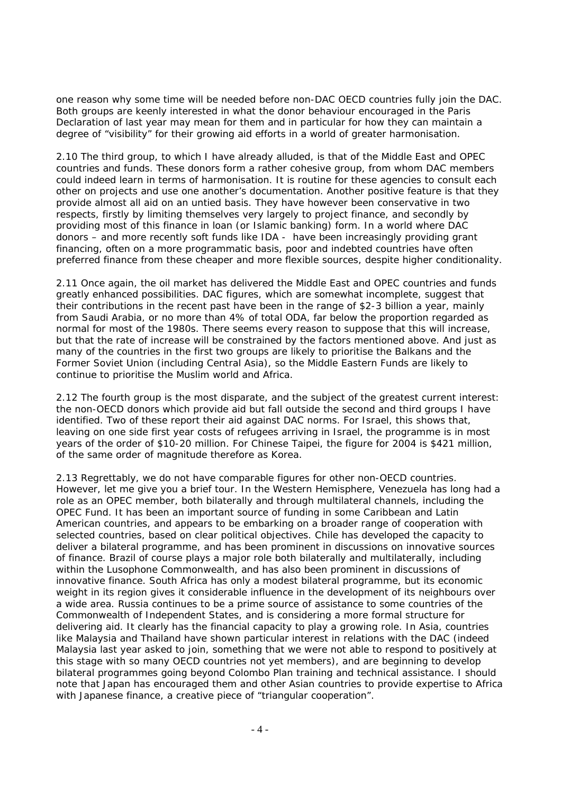one reason why some time will be needed before non-DAC OECD countries fully join the DAC. Both groups are keenly interested in what the donor behaviour encouraged in the Paris Declaration of last year may mean for them and in particular for how they can maintain a degree of "visibility" for their growing aid efforts in a world of greater harmonisation.

2.10 The third group, to which I have already alluded, is that of the Middle East and OPEC countries and funds. These donors form a rather cohesive group, from whom DAC members could indeed learn in terms of harmonisation. It is routine for these agencies to consult each other on projects and use one another's documentation. Another positive feature is that they provide almost all aid on an untied basis. They have however been conservative in two respects, firstly by limiting themselves very largely to project finance, and secondly by providing most of this finance in loan (or Islamic banking) form. In a world where DAC donors – and more recently soft funds like IDA - have been increasingly providing grant financing, often on a more programmatic basis, poor and indebted countries have often preferred finance from these cheaper and more flexible sources, despite higher conditionality.

2.11 Once again, the oil market has delivered the Middle East and OPEC countries and funds greatly enhanced possibilities. DAC figures, which are somewhat incomplete, suggest that their contributions in the recent past have been in the range of \$2-3 billion a year, mainly from Saudi Arabia, or no more than 4% of total ODA, far below the proportion regarded as normal for most of the 1980s. There seems every reason to suppose that this will increase, but that the rate of increase will be constrained by the factors mentioned above. And just as many of the countries in the first two groups are likely to prioritise the Balkans and the Former Soviet Union (including Central Asia), so the Middle Eastern Funds are likely to continue to prioritise the Muslim world and Africa.

2.12 The fourth group is the most disparate, and the subject of the greatest current interest: the non-OECD donors which provide aid but fall outside the second and third groups I have identified. Two of these report their aid against DAC norms. For Israel, this shows that, leaving on one side first year costs of refugees arriving in Israel, the programme is in most years of the order of \$10-20 million. For Chinese Taipei, the figure for 2004 is \$421 million, of the same order of magnitude therefore as Korea.

2.13 Regrettably, we do not have comparable figures for other non-OECD countries. However, let me give you a brief tour. In the Western Hemisphere, Venezuela has long had a role as an OPEC member, both bilaterally and through multilateral channels, including the OPEC Fund. It has been an important source of funding in some Caribbean and Latin American countries, and appears to be embarking on a broader range of cooperation with selected countries, based on clear political objectives. Chile has developed the capacity to deliver a bilateral programme, and has been prominent in discussions on innovative sources of finance. Brazil of course plays a major role both bilaterally and multilaterally, including within the Lusophone Commonwealth, and has also been prominent in discussions of innovative finance. South Africa has only a modest bilateral programme, but its economic weight in its region gives it considerable influence in the development of its neighbours over a wide area. Russia continues to be a prime source of assistance to some countries of the Commonwealth of Independent States, and is considering a more formal structure for delivering aid. It clearly has the financial capacity to play a growing role. In Asia, countries like Malaysia and Thailand have shown particular interest in relations with the DAC (indeed Malaysia last year asked to join, something that we were not able to respond to positively at this stage with so many OECD countries not yet members), and are beginning to develop bilateral programmes going beyond Colombo Plan training and technical assistance. I should note that Japan has encouraged them and other Asian countries to provide expertise to Africa with Japanese finance, a creative piece of "triangular cooperation".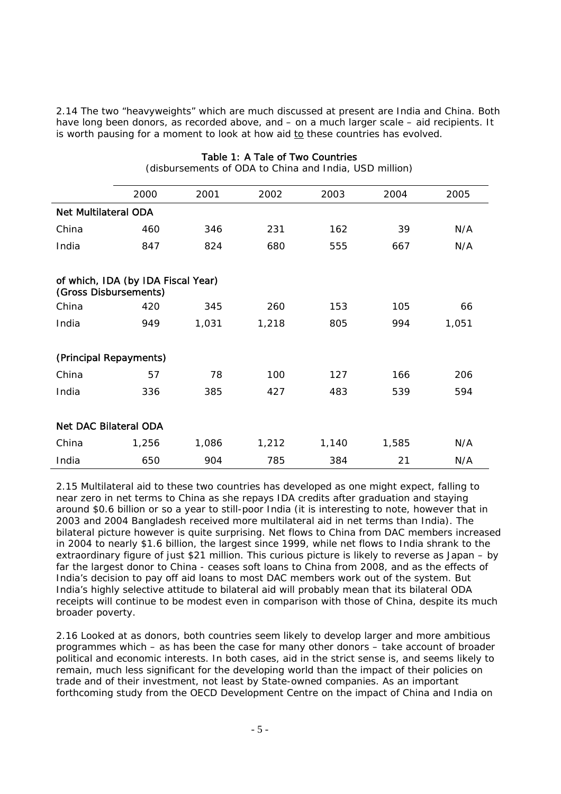2.14 The two "heavyweights" which are much discussed at present are India and China. Both have long been donors, as recorded above, and – on a much larger scale – aid recipients. It is worth pausing for a moment to look at how aid  $to$  these countries has evolved.</u>

|                                                             | 2000  | 2001  | 2002  | 2003  | 2004  | 2005  |  |
|-------------------------------------------------------------|-------|-------|-------|-------|-------|-------|--|
| <b>Net Multilateral ODA</b>                                 |       |       |       |       |       |       |  |
| China                                                       | 460   | 346   | 231   | 162   | 39    | N/A   |  |
| India                                                       | 847   | 824   | 680   | 555   | 667   | N/A   |  |
|                                                             |       |       |       |       |       |       |  |
| of which, IDA (by IDA Fiscal Year)<br>(Gross Disbursements) |       |       |       |       |       |       |  |
| China                                                       | 420   | 345   | 260   | 153   | 105   | 66    |  |
| India                                                       | 949   | 1,031 | 1,218 | 805   | 994   | 1,051 |  |
|                                                             |       |       |       |       |       |       |  |
| (Principal Repayments)                                      |       |       |       |       |       |       |  |
| China                                                       | 57    | 78    | 100   | 127   | 166   | 206   |  |
| India                                                       | 336   | 385   | 427   | 483   | 539   | 594   |  |
|                                                             |       |       |       |       |       |       |  |
| <b>Net DAC Bilateral ODA</b>                                |       |       |       |       |       |       |  |
| China                                                       | 1,256 | 1,086 | 1,212 | 1,140 | 1,585 | N/A   |  |
| India                                                       | 650   | 904   | 785   | 384   | 21    | N/A   |  |

Table 1: A Tale of Two Countries (disbursements of ODA to China and India, USD million)

2.15 Multilateral aid to these two countries has developed as one might expect, falling to near zero in net terms to China as she repays IDA credits after graduation and staying around \$0.6 billion or so a year to still-poor India (it is interesting to note, however that in 2003 and 2004 Bangladesh received more multilateral aid in net terms than India). The bilateral picture however is quite surprising. Net flows to China from DAC members increased in 2004 to nearly \$1.6 billion, the largest since 1999, while net flows to India shrank to the extraordinary figure of just \$21 million. This curious picture is likely to reverse as Japan – by far the largest donor to China - ceases soft loans to China from 2008, and as the effects of India's decision to pay off aid loans to most DAC members work out of the system. But India's highly selective attitude to bilateral aid will probably mean that its bilateral ODA receipts will continue to be modest even in comparison with those of China, despite its much broader poverty.

2.16 Looked at as donors, both countries seem likely to develop larger and more ambitious programmes which – as has been the case for many other donors – take account of broader political and economic interests. In both cases, aid in the strict sense is, and seems likely to remain, much less significant for the developing world than the impact of their policies on trade and of their investment, not least by State-owned companies. As an important forthcoming study from the OECD Development Centre on the impact of China and India on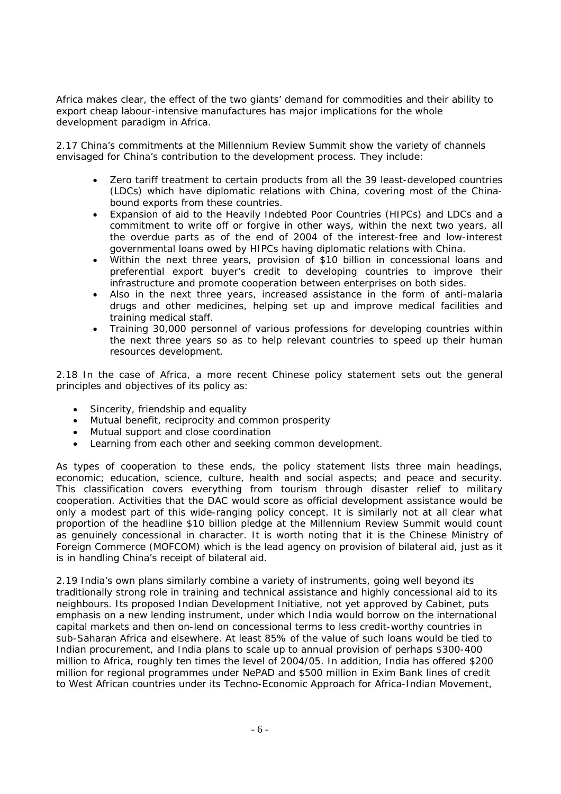Africa makes clear, the effect of the two giants' demand for commodities and their ability to export cheap labour-intensive manufactures has major implications for the whole development paradigm in Africa.

2.17 China's commitments at the Millennium Review Summit show the variety of channels envisaged for China's contribution to the development process. They include:

- Zero tariff treatment to certain products from all the 39 least-developed countries (LDCs) which have diplomatic relations with China, covering most of the Chinabound exports from these countries.
- Expansion of aid to the Heavily Indebted Poor Countries (HIPCs) and LDCs and a commitment to write off or forgive in other ways, within the next two years, all the overdue parts as of the end of 2004 of the interest-free and low-interest governmental loans owed by HIPCs having diplomatic relations with China.
- Within the next three years, provision of \$10 billion in concessional loans and preferential export buyer's credit to developing countries to improve their infrastructure and promote cooperation between enterprises on both sides.
- Also in the next three years, increased assistance in the form of anti-malaria drugs and other medicines, helping set up and improve medical facilities and training medical staff.
- Training 30,000 personnel of various professions for developing countries within the next three years so as to help relevant countries to speed up their human resources development.

2.18 In the case of Africa, a more recent Chinese policy statement sets out the general principles and objectives of its policy as:

- Sincerity, friendship and equality
- Mutual benefit, reciprocity and common prosperity
- Mutual support and close coordination
- Learning from each other and seeking common development.

As types of cooperation to these ends, the policy statement lists three main headings, economic; education, science, culture, health and social aspects; and peace and security. This classification covers everything from tourism through disaster relief to military cooperation. Activities that the DAC would score as official development assistance would be only a modest part of this wide-ranging policy concept. It is similarly not at all clear what proportion of the headline \$10 billion pledge at the Millennium Review Summit would count as genuinely concessional in character. It is worth noting that it is the Chinese Ministry of Foreign Commerce (MOFCOM) which is the lead agency on provision of bilateral aid, just as it is in handling China's receipt of bilateral aid.

2.19 India's own plans similarly combine a variety of instruments, going well beyond its traditionally strong role in training and technical assistance and highly concessional aid to its neighbours. Its proposed Indian Development Initiative, not yet approved by Cabinet, puts emphasis on a new lending instrument, under which India would borrow on the international capital markets and then on-lend on concessional terms to less credit-worthy countries in sub-Saharan Africa and elsewhere. At least 85% of the value of such loans would be tied to Indian procurement, and India plans to scale up to annual provision of perhaps \$300-400 million to Africa, roughly ten times the level of 2004/05. In addition, India has offered \$200 million for regional programmes under NePAD and \$500 million in Exim Bank lines of credit to West African countries under its Techno-Economic Approach for Africa-Indian Movement,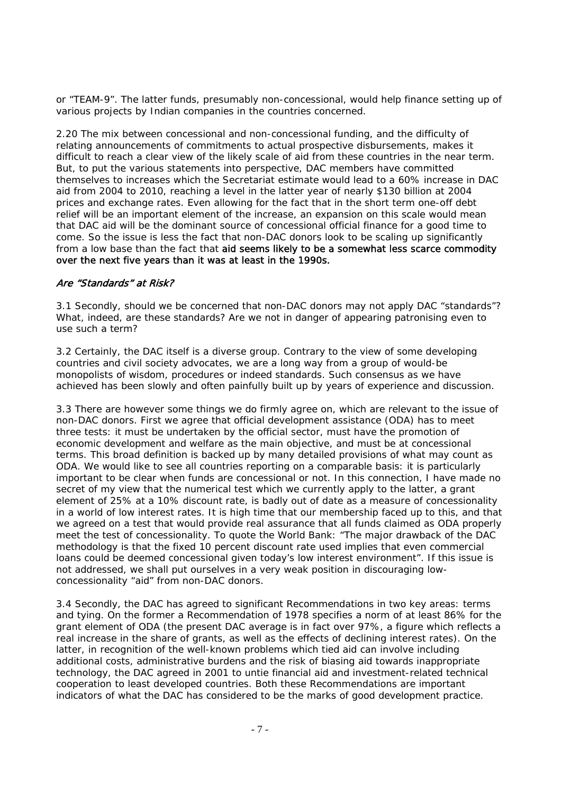or "TEAM-9". The latter funds, presumably non-concessional, would help finance setting up of various projects by Indian companies in the countries concerned.

2.20 The mix between concessional and non-concessional funding, and the difficulty of relating announcements of commitments to actual prospective disbursements, makes it difficult to reach a clear view of the likely scale of aid from these countries in the near term. But, to put the various statements into perspective, DAC members have committed themselves to increases which the Secretariat estimate would lead to a 60% increase in DAC aid from 2004 to 2010, reaching a level in the latter year of nearly \$130 billion at 2004 prices and exchange rates. Even allowing for the fact that in the short term one-off debt relief will be an important element of the increase, an expansion on this scale would mean that DAC aid will be the dominant source of concessional official finance for a good time to come. So the issue is less the fact that non-DAC donors look to be scaling up significantly from a low base than the fact that aid seems likely to be a somewhat less scarce commodity over the next five years than it was at least in the 1990s.

### Are "Standards" at Risk?

3.1 Secondly, should we be concerned that non-DAC donors may not apply DAC "standards"? What, indeed, are these standards? Are we not in danger of appearing patronising even to use such a term?

3.2 Certainly, the DAC itself is a diverse group. Contrary to the view of some developing countries and civil society advocates, we are a long way from a group of would-be monopolists of wisdom, procedures or indeed standards. Such consensus as we have achieved has been slowly and often painfully built up by years of experience and discussion.

3.3 There are however some things we do firmly agree on, which are relevant to the issue of non-DAC donors. First we agree that official development assistance (ODA) has to meet three tests: it must be undertaken by the official sector, must have the promotion of economic development and welfare as the main objective, and must be at concessional terms. This broad definition is backed up by many detailed provisions of what may count as ODA. We would like to see all countries reporting on a comparable basis: it is particularly important to be clear when funds are concessional or not. In this connection, I have made no secret of my view that the numerical test which we currently apply to the latter, a grant element of 25% at a 10% discount rate, is badly out of date as a measure of concessionality in a world of low interest rates. It is high time that our membership faced up to this, and that we agreed on a test that would provide real assurance that all funds claimed as ODA properly meet the test of concessionality. To quote the World Bank: "The major drawback of the DAC methodology is that the fixed 10 percent discount rate used implies that even commercial loans could be deemed concessional given today's low interest environment". If this issue is not addressed, we shall put ourselves in a very weak position in discouraging lowconcessionality "aid" from non-DAC donors.

3.4 Secondly, the DAC has agreed to significant Recommendations in two key areas: terms and tying. On the former a Recommendation of 1978 specifies a norm of at least 86% for the grant element of ODA (the present DAC average is in fact over 97%, a figure which reflects a real increase in the share of grants, as well as the effects of declining interest rates). On the latter, in recognition of the well-known problems which tied aid can involve including additional costs, administrative burdens and the risk of biasing aid towards inappropriate technology, the DAC agreed in 2001 to untie financial aid and investment-related technical cooperation to least developed countries. Both these Recommendations are important indicators of what the DAC has considered to be the marks of good development practice.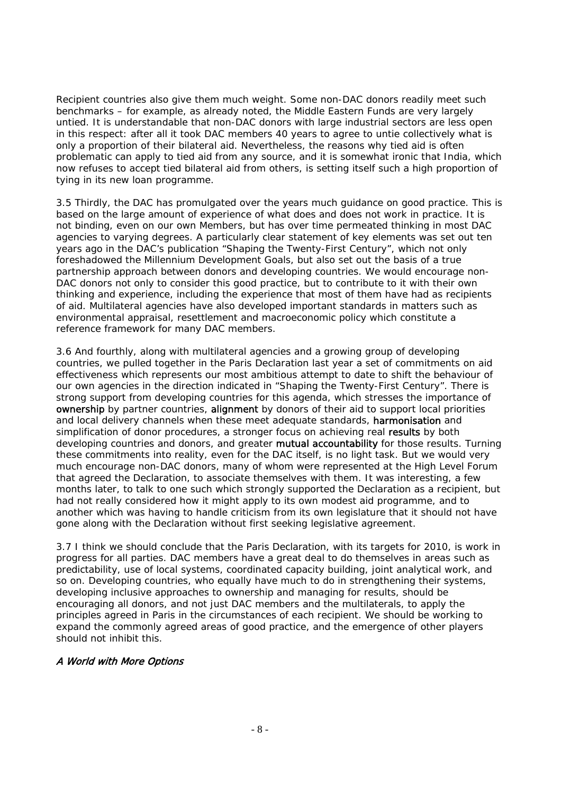Recipient countries also give them much weight. Some non-DAC donors readily meet such benchmarks – for example, as already noted, the Middle Eastern Funds are very largely untied. It is understandable that non-DAC donors with large industrial sectors are less open in this respect: after all it took DAC members 40 years to agree to untie collectively what is only a proportion of their bilateral aid. Nevertheless, the reasons why tied aid is often problematic can apply to tied aid from any source, and it is somewhat ironic that India, which now refuses to accept tied bilateral aid from others, is setting itself such a high proportion of tying in its new loan programme.

3.5 Thirdly, the DAC has promulgated over the years much guidance on good practice. This is based on the large amount of experience of what does and does not work in practice. It is not binding, even on our own Members, but has over time permeated thinking in most DAC agencies to varying degrees. A particularly clear statement of key elements was set out ten years ago in the DAC's publication "Shaping the Twenty-First Century", which not only foreshadowed the Millennium Development Goals, but also set out the basis of a true partnership approach between donors and developing countries. We would encourage non-DAC donors not only to consider this good practice, but to contribute to it with their own thinking and experience, including the experience that most of them have had as recipients of aid. Multilateral agencies have also developed important standards in matters such as environmental appraisal, resettlement and macroeconomic policy which constitute a reference framework for many DAC members.

3.6 And fourthly, along with multilateral agencies and a growing group of developing countries, we pulled together in the Paris Declaration last year a set of commitments on aid effectiveness which represents our most ambitious attempt to date to shift the behaviour of our own agencies in the direction indicated in "Shaping the Twenty-First Century". There is strong support from developing countries for this agenda, which stresses the importance of ownership by partner countries, alignment by donors of their aid to support local priorities and local delivery channels when these meet adequate standards, harmonisation and simplification of donor procedures, a stronger focus on achieving real results by both developing countries and donors, and greater mutual accountability for those results. Turning these commitments into reality, even for the DAC itself, is no light task. But we would very much encourage non-DAC donors, many of whom were represented at the High Level Forum that agreed the Declaration, to associate themselves with them. It was interesting, a few months later, to talk to one such which strongly supported the Declaration as a recipient, but had not really considered how it might apply to its own modest aid programme, and to another which was having to handle criticism from its own legislature that it should not have gone along with the Declaration without first seeking legislative agreement.

3.7 I think we should conclude that the Paris Declaration, with its targets for 2010, is work in progress for all parties. DAC members have a great deal to do themselves in areas such as predictability, use of local systems, coordinated capacity building, joint analytical work, and so on. Developing countries, who equally have much to do in strengthening their systems, developing inclusive approaches to ownership and managing for results, should be encouraging all donors, and not just DAC members and the multilaterals, to apply the principles agreed in Paris in the circumstances of each recipient. We should be working to expand the commonly agreed areas of good practice, and the emergence of other players should not inhibit this.

# A World with More Options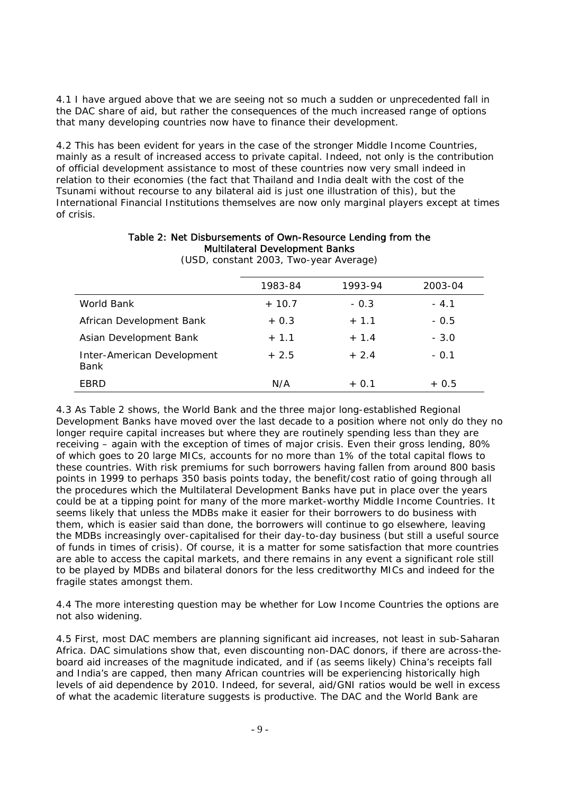4.1 I have argued above that we are seeing not so much a sudden or unprecedented fall in the DAC share of aid, but rather the consequences of the much increased range of options that many developing countries now have to finance their development.

4.2 This has been evident for years in the case of the stronger Middle Income Countries, mainly as a result of increased access to private capital. Indeed, not only is the contribution of official development assistance to most of these countries now very small indeed in relation to their economies (the fact that Thailand and India dealt with the cost of the Tsunami without recourse to any bilateral aid is just one illustration of this), but the International Financial Institutions themselves are now only marginal players except at times of crisis.

|                                    | 1983-84 | 1993-94 | 2003-04 |
|------------------------------------|---------|---------|---------|
| World Bank                         | $+10.7$ | $-0.3$  | $-4.1$  |
| African Development Bank           | $+0.3$  | $+ 1.1$ | $-0.5$  |
| Asian Development Bank             | $+1.1$  | $+ 1.4$ | $-3.0$  |
| Inter-American Development<br>Bank | $+2.5$  | $+2.4$  | $-0.1$  |
| EBRD                               | N/A     | $+0.1$  | $+0.5$  |

Table 2: Net Disbursements of Own-Resource Lending from the Multilateral Development Banks (USD, constant 2003, Two-year Average)

4.3 As Table 2 shows, the World Bank and the three major long-established Regional Development Banks have moved over the last decade to a position where not only do they no longer require capital increases but where they are routinely spending less than they are receiving – again with the exception of times of major crisis. Even their gross lending, 80% of which goes to 20 large MICs, accounts for no more than 1% of the total capital flows to these countries. With risk premiums for such borrowers having fallen from around 800 basis points in 1999 to perhaps 350 basis points today, the benefit/cost ratio of going through all the procedures which the Multilateral Development Banks have put in place over the years could be at a tipping point for many of the more market-worthy Middle Income Countries. It seems likely that unless the MDBs make it easier for their borrowers to do business with them, which is easier said than done, the borrowers will continue to go elsewhere, leaving the MDBs increasingly over-capitalised for their day-to-day business (but still a useful source of funds in times of crisis). Of course, it is a matter for some satisfaction that more countries are able to access the capital markets, and there remains in any event a significant role still to be played by MDBs and bilateral donors for the less creditworthy MICs and indeed for the fragile states amongst them.

4.4 The more interesting question may be whether for Low Income Countries the options are not also widening.

4.5 First, most DAC members are planning significant aid increases, not least in sub-Saharan Africa. DAC simulations show that, even discounting non-DAC donors, if there are across-theboard aid increases of the magnitude indicated, and if (as seems likely) China's receipts fall and India's are capped, then many African countries will be experiencing historically high levels of aid dependence by 2010. Indeed, for several, aid/GNI ratios would be well in excess of what the academic literature suggests is productive. The DAC and the World Bank are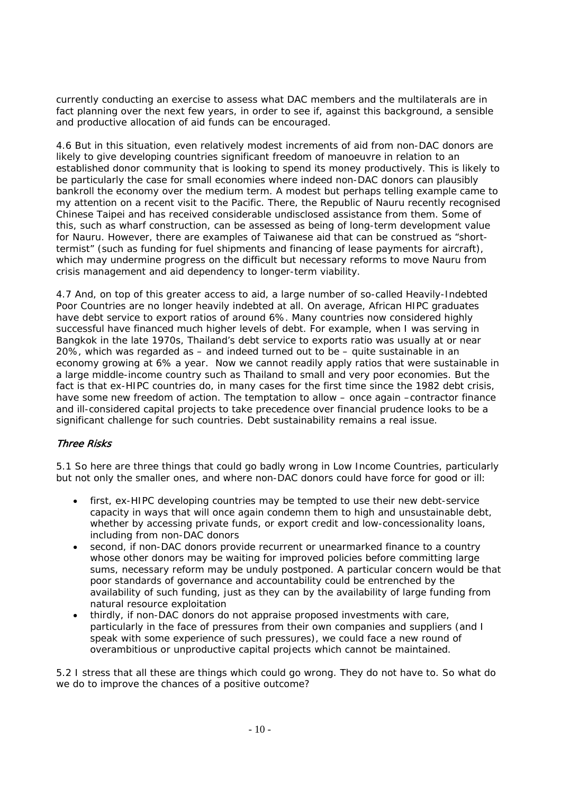currently conducting an exercise to assess what DAC members and the multilaterals are in fact planning over the next few years, in order to see if, against this background, a sensible and productive allocation of aid funds can be encouraged.

4.6 But in this situation, even relatively modest increments of aid from non-DAC donors are likely to give developing countries significant freedom of manoeuvre in relation to an established donor community that is looking to spend its money productively. This is likely to be particularly the case for small economies where indeed non-DAC donors can plausibly bankroll the economy over the medium term. A modest but perhaps telling example came to my attention on a recent visit to the Pacific. There, the Republic of Nauru recently recognised Chinese Taipei and has received considerable undisclosed assistance from them. Some of this, such as wharf construction, can be assessed as being of long-term development value for Nauru. However, there are examples of Taiwanese aid that can be construed as "shorttermist" (such as funding for fuel shipments and financing of lease payments for aircraft), which may undermine progress on the difficult but necessary reforms to move Nauru from crisis management and aid dependency to longer-term viability.

4.7 And, on top of this greater access to aid, a large number of so-called Heavily-Indebted Poor Countries are no longer heavily indebted at all. On average, African HIPC graduates have debt service to export ratios of around 6%. Many countries now considered highly successful have financed much higher levels of debt. For example, when I was serving in Bangkok in the late 1970s, Thailand's debt service to exports ratio was usually at or near 20%, which was regarded as – and indeed turned out to be – quite sustainable in an economy growing at 6% a year. Now we cannot readily apply ratios that were sustainable in a large middle-income country such as Thailand to small and very poor economies. But the fact is that ex-HIPC countries do, in many cases for the first time since the 1982 debt crisis, have some new freedom of action. The temptation to allow – once again –contractor finance and ill-considered capital projects to take precedence over financial prudence looks to be a significant challenge for such countries. Debt sustainability remains a real issue.

# Three Risks

5.1 So here are three things that could go badly wrong in Low Income Countries, particularly but not only the smaller ones, and where non-DAC donors could have force for good or ill:

- first, ex-HIPC developing countries may be tempted to use their new debt-service capacity in ways that will once again condemn them to high and unsustainable debt, whether by accessing private funds, or export credit and low-concessionality loans, including from non-DAC donors
- second, if non-DAC donors provide recurrent or unearmarked finance to a country whose other donors may be waiting for improved policies before committing large sums, necessary reform may be unduly postponed. A particular concern would be that poor standards of governance and accountability could be entrenched by the availability of such funding, just as they can by the availability of large funding from natural resource exploitation
- thirdly, if non-DAC donors do not appraise proposed investments with care, particularly in the face of pressures from their own companies and suppliers (and I speak with some experience of such pressures), we could face a new round of overambitious or unproductive capital projects which cannot be maintained.

5.2 I stress that all these are things which could go wrong. They do not have to. So what do we do to improve the chances of a positive outcome?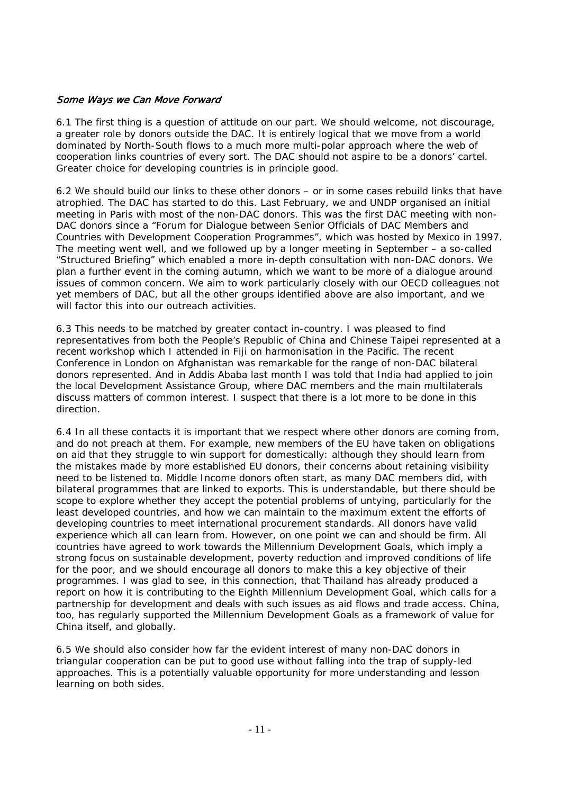#### Some Ways we Can Move Forward

6.1 The first thing is a question of attitude on our part. We should welcome, not discourage, a greater role by donors outside the DAC. It is entirely logical that we move from a world dominated by North-South flows to a much more multi-polar approach where the web of cooperation links countries of every sort. The DAC should not aspire to be a donors' cartel. Greater choice for developing countries is in principle good.

6.2 We should build our links to these other donors – or in some cases rebuild links that have atrophied. The DAC has started to do this. Last February, we and UNDP organised an initial meeting in Paris with most of the non-DAC donors. This was the first DAC meeting with non-DAC donors since a "Forum for Dialogue between Senior Officials of DAC Members and Countries with Development Cooperation Programmes", which was hosted by Mexico in 1997. The meeting went well, and we followed up by a longer meeting in September – a so-called "Structured Briefing" which enabled a more in-depth consultation with non-DAC donors. We plan a further event in the coming autumn, which we want to be more of a dialogue around issues of common concern. We aim to work particularly closely with our OECD colleagues not yet members of DAC, but all the other groups identified above are also important, and we will factor this into our outreach activities.

6.3 This needs to be matched by greater contact in-country. I was pleased to find representatives from both the People's Republic of China and Chinese Taipei represented at a recent workshop which I attended in Fiji on harmonisation in the Pacific. The recent Conference in London on Afghanistan was remarkable for the range of non-DAC bilateral donors represented. And in Addis Ababa last month I was told that India had applied to join the local Development Assistance Group, where DAC members and the main multilaterals discuss matters of common interest. I suspect that there is a lot more to be done in this direction.

6.4 In all these contacts it is important that we respect where other donors are coming from, and do not preach at them. For example, new members of the EU have taken on obligations on aid that they struggle to win support for domestically: although they should learn from the mistakes made by more established EU donors, their concerns about retaining visibility need to be listened to. Middle Income donors often start, as many DAC members did, with bilateral programmes that are linked to exports. This is understandable, but there should be scope to explore whether they accept the potential problems of untying, particularly for the least developed countries, and how we can maintain to the maximum extent the efforts of developing countries to meet international procurement standards. All donors have valid experience which all can learn from. However, on one point we can and should be firm. All countries have agreed to work towards the Millennium Development Goals, which imply a strong focus on sustainable development, poverty reduction and improved conditions of life for the poor, and we should encourage all donors to make this a key objective of their programmes. I was glad to see, in this connection, that Thailand has already produced a report on how it is contributing to the Eighth Millennium Development Goal, which calls for a partnership for development and deals with such issues as aid flows and trade access. China, too, has regularly supported the Millennium Development Goals as a framework of value for China itself, and globally.

6.5 We should also consider how far the evident interest of many non-DAC donors in triangular cooperation can be put to good use without falling into the trap of supply-led approaches. This is a potentially valuable opportunity for more understanding and lesson learning on both sides.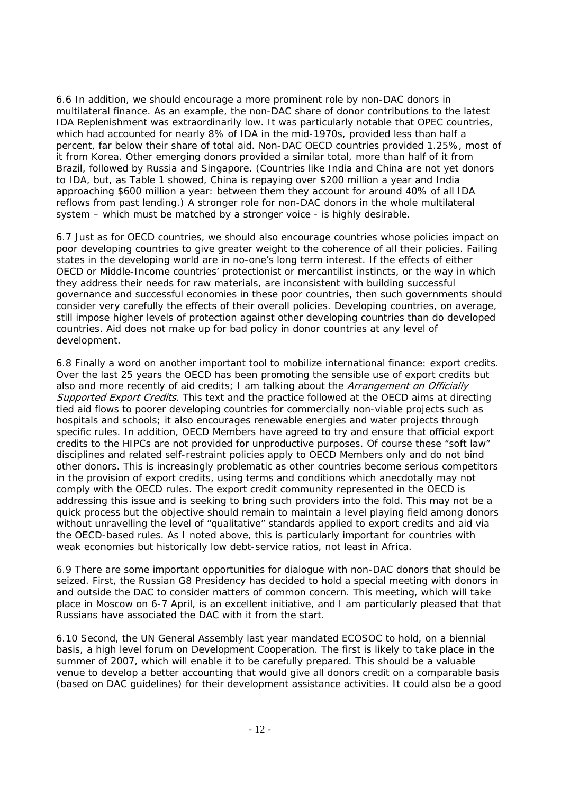6.6 In addition, we should encourage a more prominent role by non-DAC donors in multilateral finance. As an example, the non-DAC share of donor contributions to the latest IDA Replenishment was extraordinarily low. It was particularly notable that OPEC countries, which had accounted for nearly 8% of IDA in the mid-1970s, provided less than half a percent, far below their share of total aid. Non-DAC OECD countries provided 1.25%, most of it from Korea. Other emerging donors provided a similar total, more than half of it from Brazil, followed by Russia and Singapore. (Countries like India and China are not yet donors to IDA, but, as Table 1 showed, China is repaying over \$200 million a year and India approaching \$600 million a year: between them they account for around 40% of all IDA reflows from past lending.) A stronger role for non-DAC donors in the whole multilateral system – which must be matched by a stronger voice - is highly desirable.

6.7 Just as for OECD countries, we should also encourage countries whose policies impact on poor developing countries to give greater weight to the coherence of all their policies. Failing states in the developing world are in no-one's long term interest. If the effects of either OECD or Middle-Income countries' protectionist or mercantilist instincts, or the way in which they address their needs for raw materials, are inconsistent with building successful governance and successful economies in these poor countries, then such governments should consider very carefully the effects of their overall policies. Developing countries, on average, still impose higher levels of protection against other developing countries than do developed countries. Aid does not make up for bad policy in donor countries at any level of development.

6.8 Finally a word on another important tool to mobilize international finance: export credits. Over the last 25 years the OECD has been promoting the sensible use of export credits but also and more recently of aid credits; I am talking about the Arrangement on Officially Supported Export Credits. This text and the practice followed at the OECD aims at directing tied aid flows to poorer developing countries for commercially non-viable projects such as hospitals and schools; it also encourages renewable energies and water projects through specific rules. In addition, OECD Members have agreed to try and ensure that official export credits to the HIPCs are not provided for unproductive purposes. Of course these "soft law" disciplines and related self-restraint policies apply to OECD Members only and do not bind other donors. This is increasingly problematic as other countries become serious competitors in the provision of export credits, using terms and conditions which anecdotally may not comply with the OECD rules. The export credit community represented in the OECD is addressing this issue and is seeking to bring such providers into the fold. This may not be a quick process but the objective should remain to maintain a level playing field among donors without unravelling the level of "qualitative" standards applied to export credits and aid via the OECD-based rules. As I noted above, this is particularly important for countries with weak economies but historically low debt-service ratios, not least in Africa.

6.9 There are some important opportunities for dialogue with non-DAC donors that should be seized. First, the Russian G8 Presidency has decided to hold a special meeting with donors in and outside the DAC to consider matters of common concern. This meeting, which will take place in Moscow on 6-7 April, is an excellent initiative, and I am particularly pleased that that Russians have associated the DAC with it from the start.

6.10 Second, the UN General Assembly last year mandated ECOSOC to hold, on a biennial basis, a high level forum on Development Cooperation. The first is likely to take place in the summer of 2007, which will enable it to be carefully prepared. This should be a valuable venue to develop a better accounting that would give all donors credit on a comparable basis (based on DAC guidelines) for their development assistance activities. It could also be a good